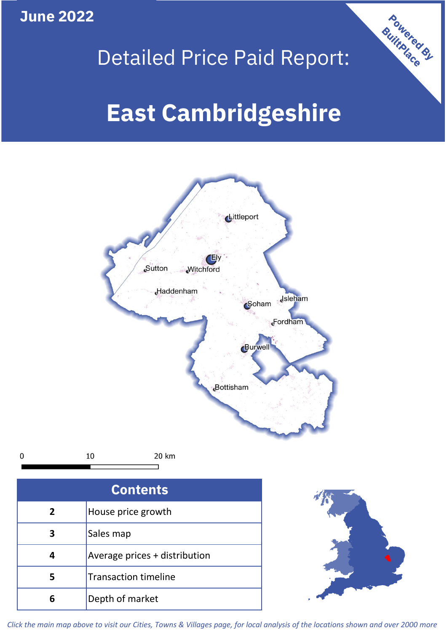**June 2022**



## Detailed Price Paid Report:

# **East Cambridgeshire**



*Click the main map above to visit our Cities, Towns & Villages page, for local analysis of the locations shown and over 2000 more*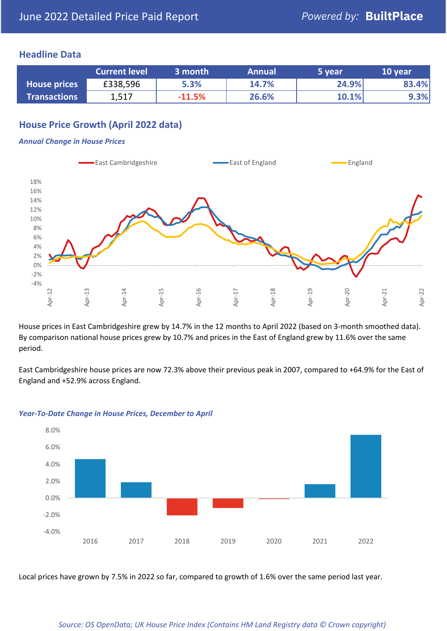## **Headline Data**

|                     | <b>Current level</b> | 3 month  | <b>Annual</b> | 5 year | 10 year |
|---------------------|----------------------|----------|---------------|--------|---------|
| <b>House prices</b> | £338,596             | 5.3%     | 14.7%         | 24.9%  | 83.4%   |
| <b>Transactions</b> | 1,517                | $-11.5%$ | 26.6%         | 10.1%  | 9.3%    |

## **House Price Growth (April 2022 data)**

#### *Annual Change in House Prices*



House prices in East Cambridgeshire grew by 14.7% in the 12 months to April 2022 (based on 3-month smoothed data). By comparison national house prices grew by 10.7% and prices in the East of England grew by 11.6% over the same period.

East Cambridgeshire house prices are now 72.3% above their previous peak in 2007, compared to +64.9% for the East of England and +52.9% across England.



#### *Year-To-Date Change in House Prices, December to April*

Local prices have grown by 7.5% in 2022 so far, compared to growth of 1.6% over the same period last year.

#### *Source: OS OpenData; UK House Price Index (Contains HM Land Registry data © Crown copyright)*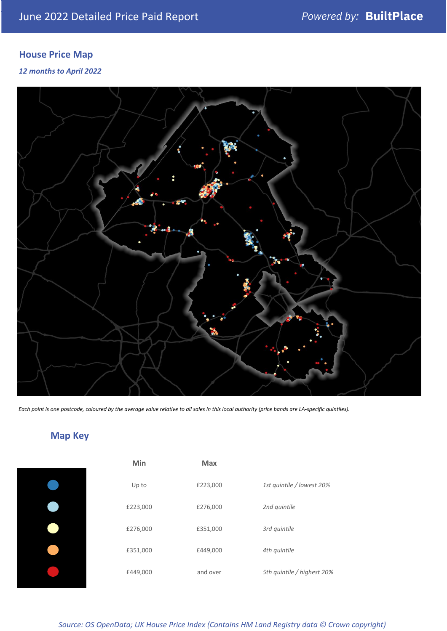## **House Price Map**

## *12 months to April 2022*



*Each point is one postcode, coloured by the average value relative to all sales in this local authority (price bands are LA-specific quintiles).*

## **Map Key**

| Min      | <b>Max</b> |                            |
|----------|------------|----------------------------|
| Up to    | £223,000   | 1st quintile / lowest 20%  |
| £223,000 | £276,000   | 2nd quintile               |
| £276,000 | £351,000   | 3rd quintile               |
| £351,000 | £449,000   | 4th quintile               |
| £449,000 | and over   | 5th quintile / highest 20% |

*Source: OS OpenData; UK House Price Index (Contains HM Land Registry data © Crown copyright)*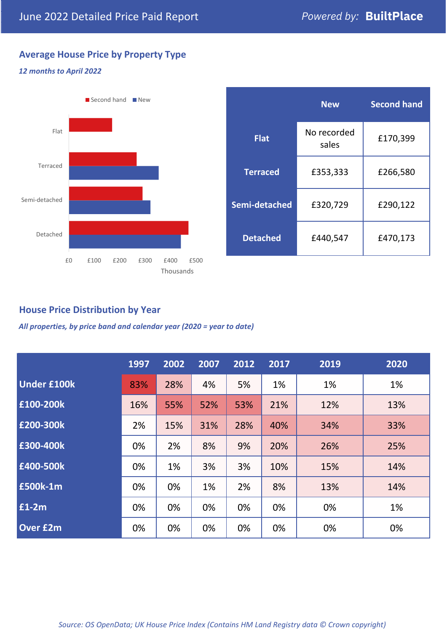## **Average House Price by Property Type**

### *12 months to April 2022*



|                 | <b>New</b>           | <b>Second hand</b> |  |
|-----------------|----------------------|--------------------|--|
| <b>Flat</b>     | No recorded<br>sales | £170,399           |  |
| <b>Terraced</b> | £353,333             | £266,580           |  |
| Semi-detached   | £320,729             | £290,122           |  |
| <b>Detached</b> | £440,547             | £470,173           |  |

## **House Price Distribution by Year**

*All properties, by price band and calendar year (2020 = year to date)*

|                    | 1997 | 2002 | 2007 | 2012 | 2017 | 2019 | 2020 |
|--------------------|------|------|------|------|------|------|------|
| <b>Under £100k</b> | 83%  | 28%  | 4%   | 5%   | 1%   | 1%   | 1%   |
| £100-200k          | 16%  | 55%  | 52%  | 53%  | 21%  | 12%  | 13%  |
| E200-300k          | 2%   | 15%  | 31%  | 28%  | 40%  | 34%  | 33%  |
| £300-400k          | 0%   | 2%   | 8%   | 9%   | 20%  | 26%  | 25%  |
| £400-500k          | 0%   | 1%   | 3%   | 3%   | 10%  | 15%  | 14%  |
| <b>£500k-1m</b>    | 0%   | 0%   | 1%   | 2%   | 8%   | 13%  | 14%  |
| £1-2m              | 0%   | 0%   | 0%   | 0%   | 0%   | 0%   | 1%   |
| <b>Over £2m</b>    | 0%   | 0%   | 0%   | 0%   | 0%   | 0%   | 0%   |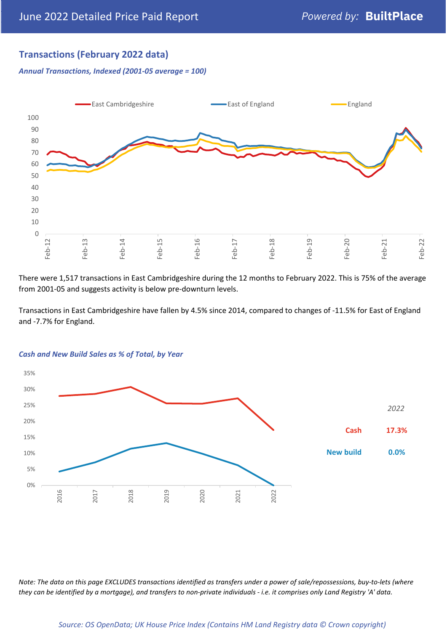## **Transactions (February 2022 data)**

*Annual Transactions, Indexed (2001-05 average = 100)*



There were 1,517 transactions in East Cambridgeshire during the 12 months to February 2022. This is 75% of the average from 2001-05 and suggests activity is below pre-downturn levels.

Transactions in East Cambridgeshire have fallen by 4.5% since 2014, compared to changes of -11.5% for East of England and -7.7% for England.



#### *Cash and New Build Sales as % of Total, by Year*

*Note: The data on this page EXCLUDES transactions identified as transfers under a power of sale/repossessions, buy-to-lets (where they can be identified by a mortgage), and transfers to non-private individuals - i.e. it comprises only Land Registry 'A' data.*